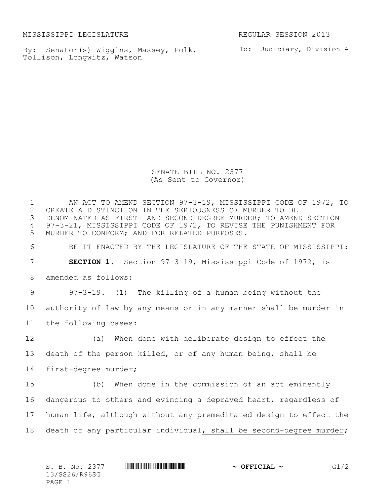MISSISSIPPI LEGISLATURE REGULAR SESSION 2013

By: Senator(s) Wiggins, Massey, Polk, To: Judiciary, Division A Tollison, Longwitz, Watson

SENATE BILL NO. 2377 (As Sent to Governor)

1 AN ACT TO AMEND SECTION 97-3-19, MISSISSIPPI CODE OF 1972, TO<br>2 CREATE A DISTINCTION IN THE SERIOUSNESS OF MURDER TO BE 2 CREATE A DISTINCTION IN THE SERIOUSNESS OF MURDER TO BE<br>3 DENOMINATED AS FIRST- AND SECOND-DEGREE MURDER; TO AMEN DENOMINATED AS FIRST- AND SECOND-DEGREE MURDER; TO AMEND SECTION 97-3-21, MISSISSIPPI CODE OF 1972, TO REVISE THE PUNISHMENT FOR MURDER TO CONFORM; AND FOR RELATED PURPOSES. BE IT ENACTED BY THE LEGISLATURE OF THE STATE OF MISSISSIPPI: **SECTION 1.** Section 97-3-19, Mississippi Code of 1972, is amended as follows: 97-3-19. (1) The killing of a human being without the authority of law by any means or in any manner shall be murder in the following cases: (a) When done with deliberate design to effect the death of the person killed, or of any human being, shall be first-degree murder; (b) When done in the commission of an act eminently dangerous to others and evincing a depraved heart, regardless of human life, although without any premeditated design to effect the death of any particular individual, shall be second-degree murder;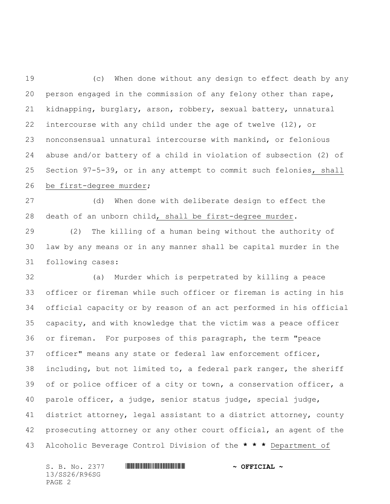(c) When done without any design to effect death by any person engaged in the commission of any felony other than rape, kidnapping, burglary, arson, robbery, sexual battery, unnatural intercourse with any child under the age of twelve (12), or nonconsensual unnatural intercourse with mankind, or felonious abuse and/or battery of a child in violation of subsection (2) of Section 97-5-39, or in any attempt to commit such felonies, shall be first-degree murder;

 (d) When done with deliberate design to effect the death of an unborn child, shall be first-degree murder.

 (2) The killing of a human being without the authority of law by any means or in any manner shall be capital murder in the following cases:

 (a) Murder which is perpetrated by killing a peace officer or fireman while such officer or fireman is acting in his official capacity or by reason of an act performed in his official capacity, and with knowledge that the victim was a peace officer or fireman. For purposes of this paragraph, the term "peace officer" means any state or federal law enforcement officer, including, but not limited to, a federal park ranger, the sheriff 39 of or police officer of a city or town, a conservation officer, a parole officer, a judge, senior status judge, special judge, district attorney, legal assistant to a district attorney, county prosecuting attorney or any other court official, an agent of the Alcoholic Beverage Control Division of the **\* \* \*** Department of

13/SS26/R96SG PAGE 2

S. B. No. 2377 \*SS26/R96SG\* **~ OFFICIAL ~**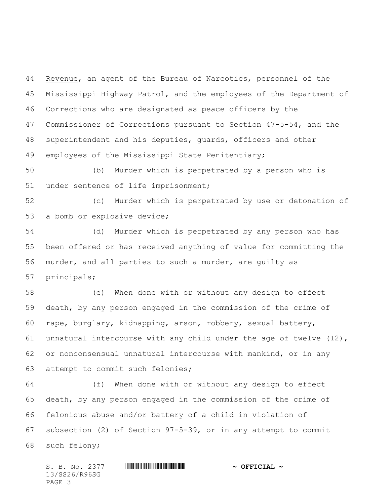Revenue, an agent of the Bureau of Narcotics, personnel of the Mississippi Highway Patrol, and the employees of the Department of Corrections who are designated as peace officers by the Commissioner of Corrections pursuant to Section 47-5-54, and the superintendent and his deputies, guards, officers and other employees of the Mississippi State Penitentiary;

 (b) Murder which is perpetrated by a person who is under sentence of life imprisonment;

 (c) Murder which is perpetrated by use or detonation of a bomb or explosive device;

 (d) Murder which is perpetrated by any person who has been offered or has received anything of value for committing the murder, and all parties to such a murder, are guilty as principals;

 (e) When done with or without any design to effect death, by any person engaged in the commission of the crime of rape, burglary, kidnapping, arson, robbery, sexual battery, unnatural intercourse with any child under the age of twelve (12), or nonconsensual unnatural intercourse with mankind, or in any attempt to commit such felonies;

 (f) When done with or without any design to effect death, by any person engaged in the commission of the crime of felonious abuse and/or battery of a child in violation of subsection (2) of Section 97-5-39, or in any attempt to commit such felony;

S. B. No. 2377 \*SS26/R96SG\* **~ OFFICIAL ~** 13/SS26/R96SG PAGE 3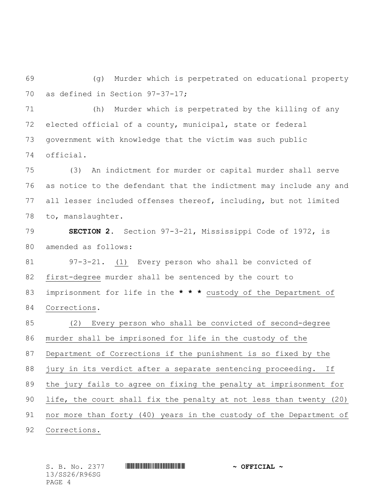(g) Murder which is perpetrated on educational property as defined in Section 97-37-17;

 (h) Murder which is perpetrated by the killing of any elected official of a county, municipal, state or federal government with knowledge that the victim was such public official.

 (3) An indictment for murder or capital murder shall serve as notice to the defendant that the indictment may include any and all lesser included offenses thereof, including, but not limited to, manslaughter.

 **SECTION 2.** Section 97-3-21, Mississippi Code of 1972, is amended as follows:

 97-3-21. (1) Every person who shall be convicted of first-degree murder shall be sentenced by the court to imprisonment for life in the **\* \* \*** custody of the Department of Corrections.

 (2) Every person who shall be convicted of second-degree murder shall be imprisoned for life in the custody of the Department of Corrections if the punishment is so fixed by the jury in its verdict after a separate sentencing proceeding. If the jury fails to agree on fixing the penalty at imprisonment for life, the court shall fix the penalty at not less than twenty (20) nor more than forty (40) years in the custody of the Department of Corrections.

13/SS26/R96SG PAGE 4

S. B. No. 2377 \*SS26/R96SG\* **~ OFFICIAL ~**